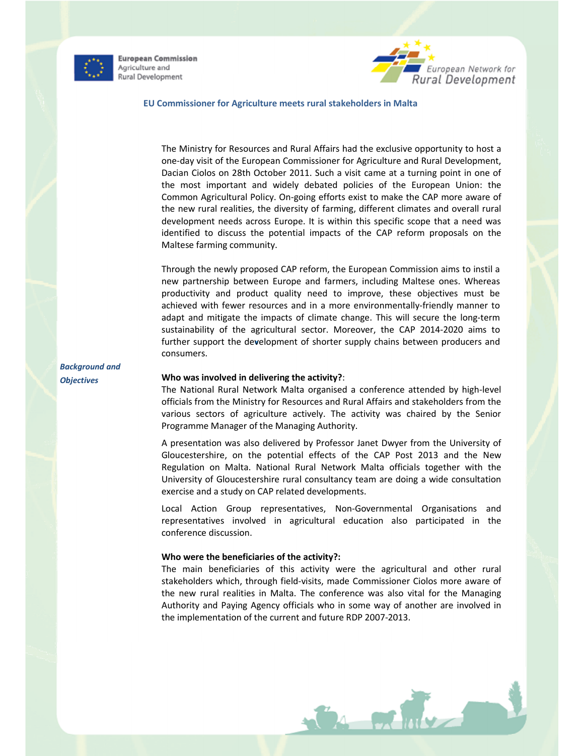

**European Commission** Agriculture and Rural Development



#### EU Commissioner for Agriculture meets rural stakeholders in Malta

The Ministry for Resources and Rural Affairs had the exclusive opportunity to host a one-day visit of the European Commissioner for Agriculture and Rural Development, Dacian Ciolos on 28th October 2011. Such a visit came at a turning point in one of the most important and widely debated policies of the European Union: the Common Agricultural Policy. On-going efforts exist to make the CAP more aware of the new rural realities, the diversity of farming, different climates and overall rural development needs across Europe. It is within this specific scope that a need was identified to discuss the potential impacts of the CAP reform proposals on the Maltese farming community.

Through the newly proposed CAP reform, the European Commission aims to instil a new partnership between Europe and farmers, including Maltese ones. Whereas productivity and product quality need to improve, these objectives must be achieved with fewer resources and in a more environmentally-friendly manner to adapt and mitigate the impacts of climate change. This will secure the long-term sustainability of the agricultural sector. Moreover, the CAP 2014-2020 aims to further support the development of shorter supply chains between producers and consumers.

Background and **Objectives** 

### Who was involved in delivering the activity?:

The National Rural Network Malta organised a conference attended by high-level officials from the Ministry for Resources and Rural Affairs and stakeholders from the various sectors of agriculture actively. The activity was chaired by the Senior Programme Manager of the Managing Authority.

A presentation was also delivered by Professor Janet Dwyer from the University of Gloucestershire, on the potential effects of the CAP Post 2013 and the New Regulation on Malta. National Rural Network Malta officials together with the University of Gloucestershire rural consultancy team are doing a wide consultation exercise and a study on CAP related developments.

Local Action Group representatives, Non-Governmental Organisations and representatives involved in agricultural education also participated in the conference discussion.

## Who were the beneficiaries of the activity?:

The main beneficiaries of this activity were the agricultural and other rural stakeholders which, through field-visits, made Commissioner Ciolos more aware of the new rural realities in Malta. The conference was also vital for the Managing Authority and Paying Agency officials who in some way of another are involved in the implementation of the current and future RDP 2007-2013.